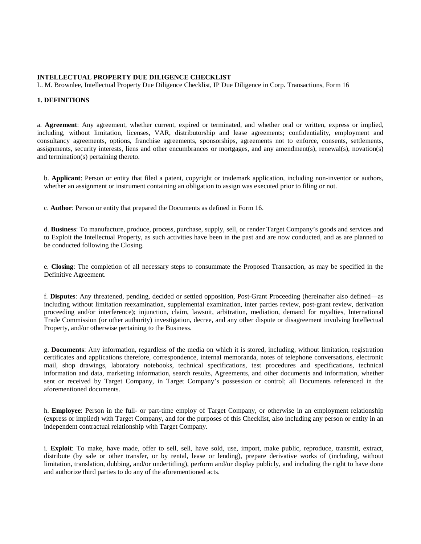#### **INTELLECTUAL PROPERTY DUE DILIGENCE CHECKLIST**

L. M. Brownlee, Intellectual Property Due Diligence Checklist, IP Due Diligence in Corp. Transactions, Form 16

## **1. DEFINITIONS**

a. **Agreement**: Any agreement, whether current, expired or terminated, and whether oral or written, express or implied, including, without limitation, licenses, VAR, distributorship and lease agreements; confidentiality, employment and consultancy agreements, options, franchise agreements, sponsorships, agreements not to enforce, consents, settlements, assignments, security interests, liens and other encumbrances or mortgages, and any amendment(s), renewal(s), novation(s) and termination(s) pertaining thereto.

b. **Applicant**: Person or entity that filed a patent, copyright or trademark application, including non-inventor or authors, whether an assignment or instrument containing an obligation to assign was executed prior to filing or not.

c. **Author**: Person or entity that prepared the Documents as defined in Form 16.

d. **Business**: To manufacture, produce, process, purchase, supply, sell, or render Target Company's goods and services and to Exploit the Intellectual Property, as such activities have been in the past and are now conducted, and as are planned to be conducted following the Closing.

e. **Closing**: The completion of all necessary steps to consummate the Proposed Transaction, as may be specified in the Definitive Agreement.

f. **Disputes**: Any threatened, pending, decided or settled opposition, Post-Grant Proceeding (hereinafter also defined—as including without limitation reexamination, supplemental examination, inter parties review, post-grant review, derivation proceeding and/or interference); injunction, claim, lawsuit, arbitration, mediation, demand for royalties, International Trade Commission (or other authority) investigation, decree, and any other dispute or disagreement involving Intellectual Property, and/or otherwise pertaining to the Business.

g. **Documents**: Any information, regardless of the media on which it is stored, including, without limitation, registration certificates and applications therefore, correspondence, internal memoranda, notes of telephone conversations, electronic mail, shop drawings, laboratory notebooks, technical specifications, test procedures and specifications, technical information and data, marketing information, search results, Agreements, and other documents and information, whether sent or received by Target Company, in Target Company's possession or control; all Documents referenced in the aforementioned documents.

h. **Employee**: Person in the full- or part-time employ of Target Company, or otherwise in an employment relationship (express or implied) with Target Company, and for the purposes of this Checklist, also including any person or entity in an independent contractual relationship with Target Company.

i. **Exploit**: To make, have made, offer to sell, sell, have sold, use, import, make public, reproduce, transmit, extract, distribute (by sale or other transfer, or by rental, lease or lending), prepare derivative works of (including, without limitation, translation, dubbing, and/or undertitling), perform and/or display publicly, and including the right to have done and authorize third parties to do any of the aforementioned acts.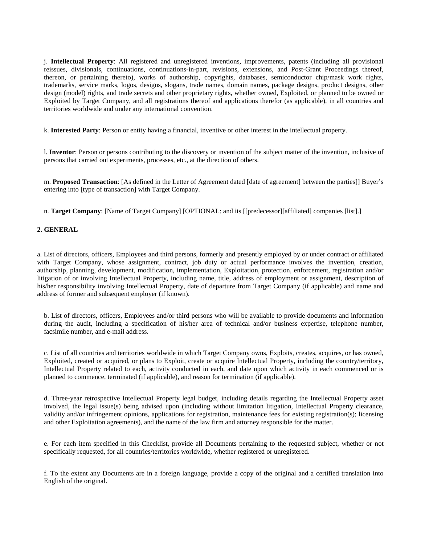j. **Intellectual Property**: All registered and unregistered inventions, improvements, patents (including all provisional reissues, divisionals, continuations, continuations-in-part, revisions, extensions, and Post-Grant Proceedings thereof, thereon, or pertaining thereto), works of authorship, copyrights, databases, semiconductor chip/mask work rights, trademarks, service marks, logos, designs, slogans, trade names, domain names, package designs, product designs, other design (model) rights, and trade secrets and other proprietary rights, whether owned, Exploited, or planned to be owned or Exploited by Target Company, and all registrations thereof and applications therefor (as applicable), in all countries and territories worldwide and under any international convention.

k. **Interested Party**: Person or entity having a financial, inventive or other interest in the intellectual property.

l. **Inventor**: Person or persons contributing to the discovery or invention of the subject matter of the invention, inclusive of persons that carried out experiments, processes, etc., at the direction of others.

m. **Proposed Transaction**: [As defined in the Letter of Agreement dated [date of agreement] between the parties]] Buyer's entering into [type of transaction] with Target Company.

n. **Target Company**: [Name of Target Company] [OPTIONAL: and its [[predecessor][affiliated] companies [list].]

#### **2. GENERAL**

a. List of directors, officers, Employees and third persons, formerly and presently employed by or under contract or affiliated with Target Company, whose assignment, contract, job duty or actual performance involves the invention, creation, authorship, planning, development, modification, implementation, Exploitation, protection, enforcement, registration and/or litigation of or involving Intellectual Property, including name, title, address of employment or assignment, description of his/her responsibility involving Intellectual Property, date of departure from Target Company (if applicable) and name and address of former and subsequent employer (if known).

b. List of directors, officers, Employees and/or third persons who will be available to provide documents and information during the audit, including a specification of his/her area of technical and/or business expertise, telephone number, facsimile number, and e-mail address.

c. List of all countries and territories worldwide in which Target Company owns, Exploits, creates, acquires, or has owned, Exploited, created or acquired, or plans to Exploit, create or acquire Intellectual Property, including the country/territory, Intellectual Property related to each, activity conducted in each, and date upon which activity in each commenced or is planned to commence, terminated (if applicable), and reason for termination (if applicable).

d. Three-year retrospective Intellectual Property legal budget, including details regarding the Intellectual Property asset involved, the legal issue(s) being advised upon (including without limitation litigation, Intellectual Property clearance, validity and/or infringement opinions, applications for registration, maintenance fees for existing registration(s); licensing and other Exploitation agreements), and the name of the law firm and attorney responsible for the matter.

e. For each item specified in this Checklist, provide all Documents pertaining to the requested subject, whether or not specifically requested, for all countries/territories worldwide, whether registered or unregistered.

f. To the extent any Documents are in a foreign language, provide a copy of the original and a certified translation into English of the original.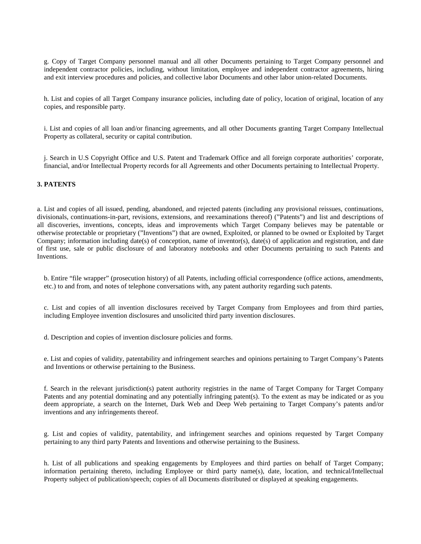g. Copy of Target Company personnel manual and all other Documents pertaining to Target Company personnel and independent contractor policies, including, without limitation, employee and independent contractor agreements, hiring and exit interview procedures and policies, and collective labor Documents and other labor union-related Documents.

h. List and copies of all Target Company insurance policies, including date of policy, location of original, location of any copies, and responsible party.

i. List and copies of all loan and/or financing agreements, and all other Documents granting Target Company Intellectual Property as collateral, security or capital contribution.

j. Search in U.S Copyright Office and U.S. Patent and Trademark Office and all foreign corporate authorities' corporate, financial, and/or Intellectual Property records for all Agreements and other Documents pertaining to Intellectual Property.

#### **3. PATENTS**

a. List and copies of all issued, pending, abandoned, and rejected patents (including any provisional reissues, continuations, divisionals, continuations-in-part, revisions, extensions, and reexaminations thereof) ("Patents") and list and descriptions of all discoveries, inventions, concepts, ideas and improvements which Target Company believes may be patentable or otherwise protectable or proprietary ("Inventions") that are owned, Exploited, or planned to be owned or Exploited by Target Company; information including date(s) of conception, name of inventor(s), date(s) of application and registration, and date of first use, sale or public disclosure of and laboratory notebooks and other Documents pertaining to such Patents and Inventions.

b. Entire "file wrapper" (prosecution history) of all Patents, including official correspondence (office actions, amendments, etc.) to and from, and notes of telephone conversations with, any patent authority regarding such patents.

c. List and copies of all invention disclosures received by Target Company from Employees and from third parties, including Employee invention disclosures and unsolicited third party invention disclosures.

d. Description and copies of invention disclosure policies and forms.

e. List and copies of validity, patentability and infringement searches and opinions pertaining to Target Company's Patents and Inventions or otherwise pertaining to the Business.

f. Search in the relevant jurisdiction(s) patent authority registries in the name of Target Company for Target Company Patents and any potential dominating and any potentially infringing patent(s). To the extent as may be indicated or as you deem appropriate, a search on the Internet, Dark Web and Deep Web pertaining to Target Company's patents and/or inventions and any infringements thereof.

g. List and copies of validity, patentability, and infringement searches and opinions requested by Target Company pertaining to any third party Patents and Inventions and otherwise pertaining to the Business.

h. List of all publications and speaking engagements by Employees and third parties on behalf of Target Company; information pertaining thereto, including Employee or third party name(s), date, location, and technical/Intellectual Property subject of publication/speech; copies of all Documents distributed or displayed at speaking engagements.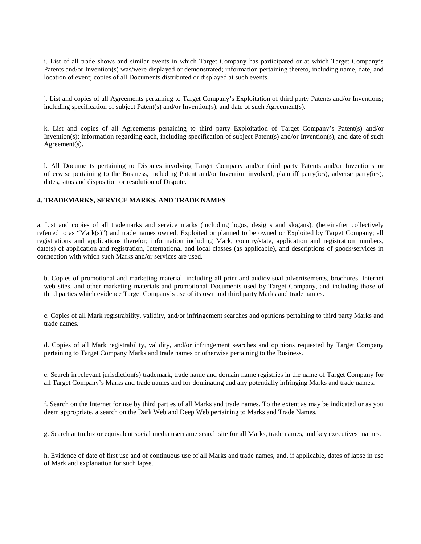i. List of all trade shows and similar events in which Target Company has participated or at which Target Company's Patents and/or Invention(s) was/were displayed or demonstrated; information pertaining thereto, including name, date, and location of event; copies of all Documents distributed or displayed at such events.

j. List and copies of all Agreements pertaining to Target Company's Exploitation of third party Patents and/or Inventions; including specification of subject Patent(s) and/or Invention(s), and date of such Agreement(s).

k. List and copies of all Agreements pertaining to third party Exploitation of Target Company's Patent(s) and/or Invention(s); information regarding each, including specification of subject Patent(s) and/or Invention(s), and date of such Agreement(s).

l. All Documents pertaining to Disputes involving Target Company and/or third party Patents and/or Inventions or otherwise pertaining to the Business, including Patent and/or Invention involved, plaintiff party(ies), adverse party(ies), dates, situs and disposition or resolution of Dispute.

# **4. TRADEMARKS, SERVICE MARKS, AND TRADE NAMES**

a. List and copies of all trademarks and service marks (including logos, designs and slogans), (hereinafter collectively referred to as "Mark(s)") and trade names owned, Exploited or planned to be owned or Exploited by Target Company; all registrations and applications therefor; information including Mark, country/state, application and registration numbers, date(s) of application and registration, International and local classes (as applicable), and descriptions of goods/services in connection with which such Marks and/or services are used.

b. Copies of promotional and marketing material, including all print and audiovisual advertisements, brochures, Internet web sites, and other marketing materials and promotional Documents used by Target Company, and including those of third parties which evidence Target Company's use of its own and third party Marks and trade names.

c. Copies of all Mark registrability, validity, and/or infringement searches and opinions pertaining to third party Marks and trade names.

d. Copies of all Mark registrability, validity, and/or infringement searches and opinions requested by Target Company pertaining to Target Company Marks and trade names or otherwise pertaining to the Business.

e. Search in relevant jurisdiction(s) trademark, trade name and domain name registries in the name of Target Company for all Target Company's Marks and trade names and for dominating and any potentially infringing Marks and trade names.

f. Search on the Internet for use by third parties of all Marks and trade names. To the extent as may be indicated or as you deem appropriate, a search on the Dark Web and Deep Web pertaining to Marks and Trade Names.

g. Search at tm.biz or equivalent social media username search site for all Marks, trade names, and key executives' names.

h. Evidence of date of first use and of continuous use of all Marks and trade names, and, if applicable, dates of lapse in use of Mark and explanation for such lapse.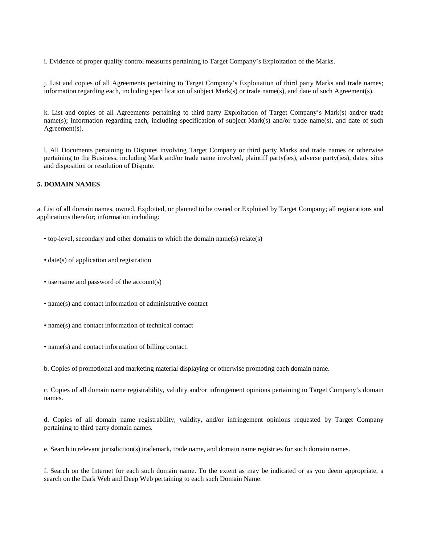i. Evidence of proper quality control measures pertaining to Target Company's Exploitation of the Marks.

j. List and copies of all Agreements pertaining to Target Company's Exploitation of third party Marks and trade names; information regarding each, including specification of subject Mark(s) or trade name(s), and date of such Agreement(s).

k. List and copies of all Agreements pertaining to third party Exploitation of Target Company's Mark(s) and/or trade name(s); information regarding each, including specification of subject Mark(s) and/or trade name(s), and date of such Agreement(s).

l. All Documents pertaining to Disputes involving Target Company or third party Marks and trade names or otherwise pertaining to the Business, including Mark and/or trade name involved, plaintiff party(ies), adverse party(ies), dates, situs and disposition or resolution of Dispute.

### **5. DOMAIN NAMES**

a. List of all domain names, owned, Exploited, or planned to be owned or Exploited by Target Company; all registrations and applications therefor; information including:

- top-level, secondary and other domains to which the domain name(s) relate(s)
- date(s) of application and registration
- username and password of the account(s)
- name(s) and contact information of administrative contact
- name(s) and contact information of technical contact
- name(s) and contact information of billing contact.
- b. Copies of promotional and marketing material displaying or otherwise promoting each domain name.

c. Copies of all domain name registrability, validity and/or infringement opinions pertaining to Target Company's domain names.

d. Copies of all domain name registrability, validity, and/or infringement opinions requested by Target Company pertaining to third party domain names.

e. Search in relevant jurisdiction(s) trademark, trade name, and domain name registries for such domain names.

f. Search on the Internet for each such domain name. To the extent as may be indicated or as you deem appropriate, a search on the Dark Web and Deep Web pertaining to each such Domain Name.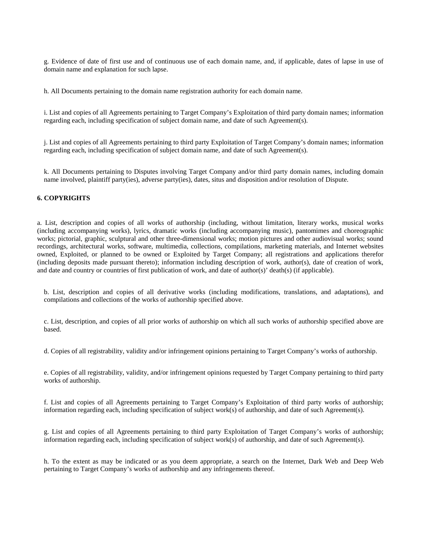g. Evidence of date of first use and of continuous use of each domain name, and, if applicable, dates of lapse in use of domain name and explanation for such lapse.

h. All Documents pertaining to the domain name registration authority for each domain name.

i. List and copies of all Agreements pertaining to Target Company's Exploitation of third party domain names; information regarding each, including specification of subject domain name, and date of such Agreement(s).

j. List and copies of all Agreements pertaining to third party Exploitation of Target Company's domain names; information regarding each, including specification of subject domain name, and date of such Agreement(s).

k. All Documents pertaining to Disputes involving Target Company and/or third party domain names, including domain name involved, plaintiff party(ies), adverse party(ies), dates, situs and disposition and/or resolution of Dispute.

#### **6. COPYRIGHTS**

a. List, description and copies of all works of authorship (including, without limitation, literary works, musical works (including accompanying works), lyrics, dramatic works (including accompanying music), pantomimes and choreographic works; pictorial, graphic, sculptural and other three-dimensional works; motion pictures and other audiovisual works; sound recordings, architectural works, software, multimedia, collections, compilations, marketing materials, and Internet websites owned, Exploited, or planned to be owned or Exploited by Target Company; all registrations and applications therefor (including deposits made pursuant thereto); information including description of work, author(s), date of creation of work, and date and country or countries of first publication of work, and date of author(s)' death(s) (if applicable).

b. List, description and copies of all derivative works (including modifications, translations, and adaptations), and compilations and collections of the works of authorship specified above.

c. List, description, and copies of all prior works of authorship on which all such works of authorship specified above are based.

d. Copies of all registrability, validity and/or infringement opinions pertaining to Target Company's works of authorship.

e. Copies of all registrability, validity, and/or infringement opinions requested by Target Company pertaining to third party works of authorship.

f. List and copies of all Agreements pertaining to Target Company's Exploitation of third party works of authorship; information regarding each, including specification of subject work(s) of authorship, and date of such Agreement(s).

g. List and copies of all Agreements pertaining to third party Exploitation of Target Company's works of authorship; information regarding each, including specification of subject work(s) of authorship, and date of such Agreement(s).

h. To the extent as may be indicated or as you deem appropriate, a search on the Internet, Dark Web and Deep Web pertaining to Target Company's works of authorship and any infringements thereof.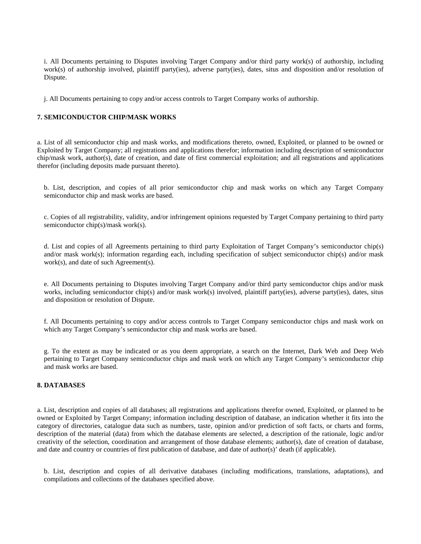i. All Documents pertaining to Disputes involving Target Company and/or third party work(s) of authorship, including work(s) of authorship involved, plaintiff party(ies), adverse party(ies), dates, situs and disposition and/or resolution of Dispute.

j. All Documents pertaining to copy and/or access controls to Target Company works of authorship.

## **7. SEMICONDUCTOR CHIP/MASK WORKS**

a. List of all semiconductor chip and mask works, and modifications thereto, owned, Exploited, or planned to be owned or Exploited by Target Company; all registrations and applications therefor; information including description of semiconductor chip/mask work, author(s), date of creation, and date of first commercial exploitation; and all registrations and applications therefor (including deposits made pursuant thereto).

b. List, description, and copies of all prior semiconductor chip and mask works on which any Target Company semiconductor chip and mask works are based.

c. Copies of all registrability, validity, and/or infringement opinions requested by Target Company pertaining to third party semiconductor chip(s)/mask work(s).

d. List and copies of all Agreements pertaining to third party Exploitation of Target Company's semiconductor chip(s) and/or mask work(s); information regarding each, including specification of subject semiconductor chip(s) and/or mask work(s), and date of such Agreement(s).

e. All Documents pertaining to Disputes involving Target Company and/or third party semiconductor chips and/or mask works, including semiconductor chip(s) and/or mask work(s) involved, plaintiff party(ies), adverse party(ies), dates, situs and disposition or resolution of Dispute.

f. All Documents pertaining to copy and/or access controls to Target Company semiconductor chips and mask work on which any Target Company's semiconductor chip and mask works are based.

g. To the extent as may be indicated or as you deem appropriate, a search on the Internet, Dark Web and Deep Web pertaining to Target Company semiconductor chips and mask work on which any Target Company's semiconductor chip and mask works are based.

# **8. DATABASES**

a. List, description and copies of all databases; all registrations and applications therefor owned, Exploited, or planned to be owned or Exploited by Target Company; information including description of database, an indication whether it fits into the category of directories, catalogue data such as numbers, taste, opinion and/or prediction of soft facts, or charts and forms, description of the material (data) from which the database elements are selected, a description of the rationale, logic and/or creativity of the selection, coordination and arrangement of those database elements; author(s), date of creation of database, and date and country or countries of first publication of database, and date of author(s)' death (if applicable).

b. List, description and copies of all derivative databases (including modifications, translations, adaptations), and compilations and collections of the databases specified above.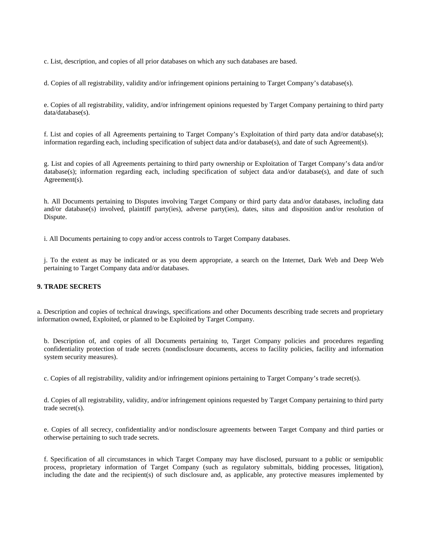c. List, description, and copies of all prior databases on which any such databases are based.

d. Copies of all registrability, validity and/or infringement opinions pertaining to Target Company's database(s).

e. Copies of all registrability, validity, and/or infringement opinions requested by Target Company pertaining to third party data/database(s).

f. List and copies of all Agreements pertaining to Target Company's Exploitation of third party data and/or database(s); information regarding each, including specification of subject data and/or database(s), and date of such Agreement(s).

g. List and copies of all Agreements pertaining to third party ownership or Exploitation of Target Company's data and/or database(s); information regarding each, including specification of subject data and/or database(s), and date of such Agreement(s).

h. All Documents pertaining to Disputes involving Target Company or third party data and/or databases, including data and/or database(s) involved, plaintiff party(ies), adverse party(ies), dates, situs and disposition and/or resolution of Dispute.

i. All Documents pertaining to copy and/or access controls to Target Company databases.

j. To the extent as may be indicated or as you deem appropriate, a search on the Internet, Dark Web and Deep Web pertaining to Target Company data and/or databases.

### **9. TRADE SECRETS**

a. Description and copies of technical drawings, specifications and other Documents describing trade secrets and proprietary information owned, Exploited, or planned to be Exploited by Target Company.

b. Description of, and copies of all Documents pertaining to, Target Company policies and procedures regarding confidentiality protection of trade secrets (nondisclosure documents, access to facility policies, facility and information system security measures).

c. Copies of all registrability, validity and/or infringement opinions pertaining to Target Company's trade secret(s).

d. Copies of all registrability, validity, and/or infringement opinions requested by Target Company pertaining to third party trade secret(s).

e. Copies of all secrecy, confidentiality and/or nondisclosure agreements between Target Company and third parties or otherwise pertaining to such trade secrets.

f. Specification of all circumstances in which Target Company may have disclosed, pursuant to a public or semipublic process, proprietary information of Target Company (such as regulatory submittals, bidding processes, litigation), including the date and the recipient(s) of such disclosure and, as applicable, any protective measures implemented by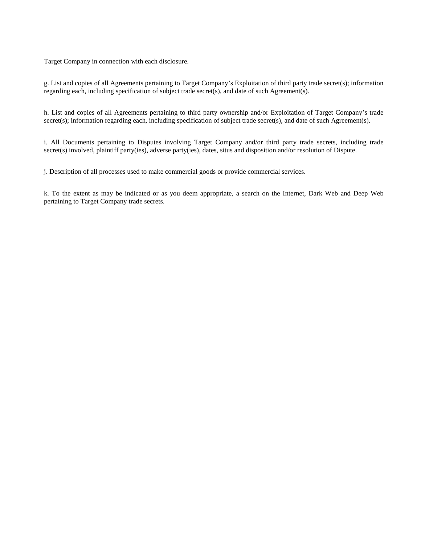Target Company in connection with each disclosure.

g. List and copies of all Agreements pertaining to Target Company's Exploitation of third party trade secret(s); information regarding each, including specification of subject trade secret(s), and date of such Agreement(s).

h. List and copies of all Agreements pertaining to third party ownership and/or Exploitation of Target Company's trade secret(s); information regarding each, including specification of subject trade secret(s), and date of such Agreement(s).

i. All Documents pertaining to Disputes involving Target Company and/or third party trade secrets, including trade secret(s) involved, plaintiff party(ies), adverse party(ies), dates, situs and disposition and/or resolution of Dispute.

j. Description of all processes used to make commercial goods or provide commercial services.

k. To the extent as may be indicated or as you deem appropriate, a search on the Internet, Dark Web and Deep Web pertaining to Target Company trade secrets.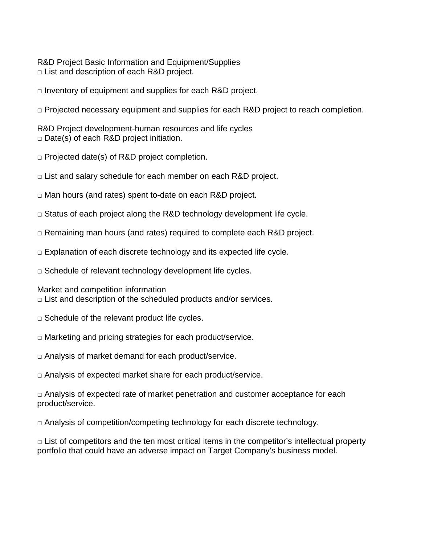R&D Project Basic Information and Equipment/Supplies □ List and description of each R&D project.

 $\Box$  Inventory of equipment and supplies for each R&D project.

□ Projected necessary equipment and supplies for each R&D project to reach completion.

R&D Project development-human resources and life cycles  $\Box$  Date(s) of each R&D project initiation.

□ Projected date(s) of R&D project completion.

 $\Box$  List and salary schedule for each member on each R&D project.

□ Man hours (and rates) spent to-date on each R&D project.

 $\Box$  Status of each project along the R&D technology development life cycle.

□ Remaining man hours (and rates) required to complete each R&D project.

 $\Box$  Explanation of each discrete technology and its expected life cycle.

 $\Box$  Schedule of relevant technology development life cycles.

Market and competition information

 $\Box$  List and description of the scheduled products and/or services.

 $\Box$  Schedule of the relevant product life cycles.

 $\Box$  Marketing and pricing strategies for each product/service.

 $\Box$  Analysis of market demand for each product/service.

□ Analysis of expected market share for each product/service.

 $\Box$  Analysis of expected rate of market penetration and customer acceptance for each product/service.

 $\Box$  Analysis of competition/competing technology for each discrete technology.

 $\Box$  List of competitors and the ten most critical items in the competitor's intellectual property portfolio that could have an adverse impact on Target Company's business model.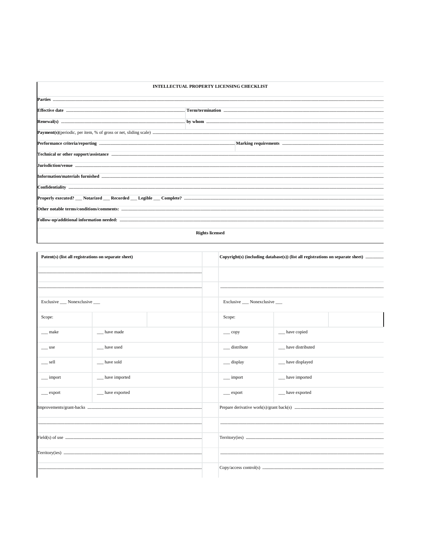| <b>INTELLECTUAL PROPERTY LICENSING CHECKLIST</b>                                                                            |                                                                                                                                                                                                                                      |  |  |  |  |  |  |
|-----------------------------------------------------------------------------------------------------------------------------|--------------------------------------------------------------------------------------------------------------------------------------------------------------------------------------------------------------------------------------|--|--|--|--|--|--|
|                                                                                                                             |                                                                                                                                                                                                                                      |  |  |  |  |  |  |
|                                                                                                                             | Effective date <b>contract to the contract of the contract of the contract of the contract of the contract of the contract of the contract of the contract of the contract of the contract of the contract of the contract of th</b> |  |  |  |  |  |  |
|                                                                                                                             |                                                                                                                                                                                                                                      |  |  |  |  |  |  |
|                                                                                                                             |                                                                                                                                                                                                                                      |  |  |  |  |  |  |
|                                                                                                                             |                                                                                                                                                                                                                                      |  |  |  |  |  |  |
| Technical or other support/assistance <b>Entitled Structure and Structure Control</b> Technical or other support/assistance |                                                                                                                                                                                                                                      |  |  |  |  |  |  |
|                                                                                                                             |                                                                                                                                                                                                                                      |  |  |  |  |  |  |
|                                                                                                                             |                                                                                                                                                                                                                                      |  |  |  |  |  |  |
|                                                                                                                             |                                                                                                                                                                                                                                      |  |  |  |  |  |  |
|                                                                                                                             |                                                                                                                                                                                                                                      |  |  |  |  |  |  |
|                                                                                                                             |                                                                                                                                                                                                                                      |  |  |  |  |  |  |
|                                                                                                                             |                                                                                                                                                                                                                                      |  |  |  |  |  |  |
| <b>Rights licensed</b>                                                                                                      |                                                                                                                                                                                                                                      |  |  |  |  |  |  |

 $\mathsf{I}$ 

| Patent(s) (list all registrations on separate sheet) |                  |                                |                           |                     |  |
|------------------------------------------------------|------------------|--------------------------------|---------------------------|---------------------|--|
|                                                      |                  |                                |                           |                     |  |
|                                                      |                  |                                |                           |                     |  |
| Exclusive ___ Nonexclusive ___                       |                  | Exclusive ___ Nonexclusive ___ |                           |                     |  |
| Scope:                                               |                  |                                | Scope:                    |                     |  |
| __ make                                              | have made        |                                | $\rule{1em}{0.15mm}$ copy | __ have copied      |  |
| $\equiv$ use                                         | have used        |                                | __ distribute             | __ have distributed |  |
| __ sell                                              | have sold        |                                | __ display                | __ have displayed   |  |
| $\equiv$ import                                      | __ have imported |                                | $\equiv$ import           | __ have imported    |  |
| __ export                                            | __ have exported |                                | __ export                 | __ have exported    |  |
|                                                      |                  |                                |                           |                     |  |
|                                                      |                  |                                |                           |                     |  |
|                                                      |                  |                                |                           |                     |  |
|                                                      |                  |                                |                           |                     |  |
|                                                      |                  |                                |                           |                     |  |
|                                                      |                  |                                |                           |                     |  |